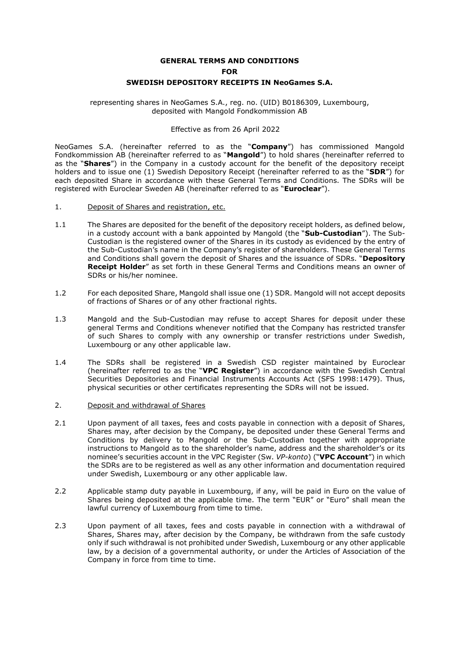# **GENERAL TERMS AND CONDITIONS FOR SWEDISH DEPOSITORY RECEIPTS IN NeoGames S.A.**

representing shares in NeoGames S.A., reg. no. (UID) B0186309, Luxembourg, deposited with Mangold Fondkommission AB

#### Effective as from 26 April 2022

NeoGames S.A. (hereinafter referred to as the "**Company**") has commissioned Mangold Fondkommission AB (hereinafter referred to as "**Mangold**") to hold shares (hereinafter referred to as the "**Shares**") in the Company in a custody account for the benefit of the depository receipt holders and to issue one (1) Swedish Depository Receipt (hereinafter referred to as the "**SDR**") for each deposited Share in accordance with these General Terms and Conditions. The SDRs will be registered with Euroclear Sweden AB (hereinafter referred to as "**Euroclear**").

- 1. Deposit of Shares and registration, etc.
- 1.1 The Shares are deposited for the benefit of the depository receipt holders, as defined below, in a custody account with a bank appointed by Mangold (the "**Sub-Custodian**"). The Sub-Custodian is the registered owner of the Shares in its custody as evidenced by the entry of the Sub-Custodian's name in the Company's register of shareholders. These General Terms and Conditions shall govern the deposit of Shares and the issuance of SDRs. "**Depository Receipt Holder**" as set forth in these General Terms and Conditions means an owner of SDRs or his/her nominee.
- 1.2 For each deposited Share, Mangold shall issue one (1) SDR. Mangold will not accept deposits of fractions of Shares or of any other fractional rights.
- 1.3 Mangold and the Sub-Custodian may refuse to accept Shares for deposit under these general Terms and Conditions whenever notified that the Company has restricted transfer of such Shares to comply with any ownership or transfer restrictions under Swedish, Luxembourg or any other applicable law.
- 1.4 The SDRs shall be registered in a Swedish CSD register maintained by Euroclear (hereinafter referred to as the "**VPC Register**") in accordance with the Swedish Central Securities Depositories and Financial Instruments Accounts Act (SFS 1998:1479). Thus, physical securities or other certificates representing the SDRs will not be issued.

# <span id="page-0-0"></span>2. Deposit and withdrawal of Shares

- 2.1 Upon payment of all taxes, fees and costs payable in connection with a deposit of Shares, Shares may, after decision by the Company, be deposited under these General Terms and Conditions by delivery to Mangold or the Sub-Custodian together with appropriate instructions to Mangold as to the shareholder's name, address and the shareholder's or its nominee's securities account in the VPC Register (Sw. *VP-konto*) ("**VPC Account**") in which the SDRs are to be registered as well as any other information and documentation required under Swedish, Luxembourg or any other applicable law.
- 2.2 Applicable stamp duty payable in Luxembourg, if any, will be paid in Euro on the value of Shares being deposited at the applicable time. The term "EUR" or "Euro" shall mean the lawful currency of Luxembourg from time to time.
- 2.3 Upon payment of all taxes, fees and costs payable in connection with a withdrawal of Shares, Shares may, after decision by the Company, be withdrawn from the safe custody only if such withdrawal is not prohibited under Swedish, Luxembourg or any other applicable law, by a decision of a governmental authority, or under the Articles of Association of the Company in force from time to time.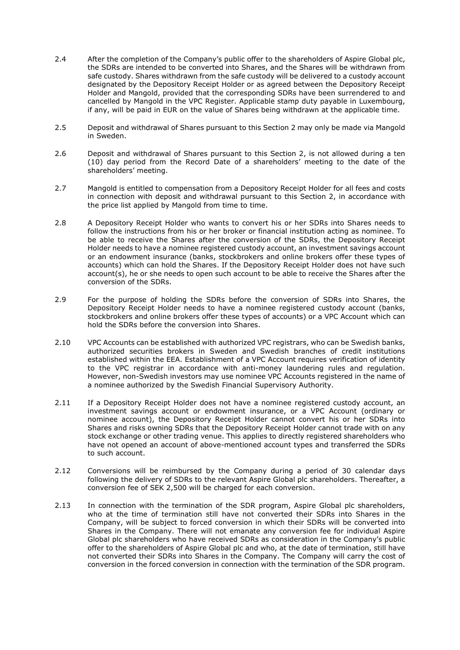- 2.4 After the completion of the Company's public offer to the shareholders of Aspire Global plc, the SDRs are intended to be converted into Shares, and the Shares will be withdrawn from safe custody. Shares withdrawn from the safe custody will be delivered to a custody account designated by the Depository Receipt Holder or as agreed between the Depository Receipt Holder and Mangold, provided that the corresponding SDRs have been surrendered to and cancelled by Mangold in the VPC Register. Applicable stamp duty payable in Luxembourg, if any, will be paid in EUR on the value of Shares being withdrawn at the applicable time.
- 2.5 Deposit and withdrawal of Shares pursuant to this Sectio[n 2](#page-0-0) may only be made via Mangold in Sweden.
- 2.6 Deposit and withdrawal of Shares pursuant to this Section 2, is not allowed during a ten (10) day period from the Record Date of a shareholders' meeting to the date of the shareholders' meeting.
- 2.7 Mangold is entitled to compensation from a Depository Receipt Holder for all fees and costs in connection with deposit and withdrawal pursuant to this Section 2, in accordance with the price list applied by Mangold from time to time.
- 2.8 A Depository Receipt Holder who wants to convert his or her SDRs into Shares needs to follow the instructions from his or her broker or financial institution acting as nominee. To be able to receive the Shares after the conversion of the SDRs, the Depository Receipt Holder needs to have a nominee registered custody account, an investment savings account or an endowment insurance (banks, stockbrokers and online brokers offer these types of accounts) which can hold the Shares. If the Depository Receipt Holder does not have such account(s), he or she needs to open such account to be able to receive the Shares after the conversion of the SDRs.
- 2.9 For the purpose of holding the SDRs before the conversion of SDRs into Shares, the Depository Receipt Holder needs to have a nominee registered custody account (banks, stockbrokers and online brokers offer these types of accounts) or a VPC Account which can hold the SDRs before the conversion into Shares.
- 2.10 VPC Accounts can be established with authorized VPC registrars, who can be Swedish banks, authorized securities brokers in Sweden and Swedish branches of credit institutions established within the EEA. Establishment of a VPC Account requires verification of identity to the VPC registrar in accordance with anti-money laundering rules and regulation. However, non-Swedish investors may use nominee VPC Accounts registered in the name of a nominee authorized by the Swedish Financial Supervisory Authority.
- 2.11 If a Depository Receipt Holder does not have a nominee registered custody account, an investment savings account or endowment insurance, or a VPC Account (ordinary or nominee account), the Depository Receipt Holder cannot convert his or her SDRs into Shares and risks owning SDRs that the Depository Receipt Holder cannot trade with on any stock exchange or other trading venue. This applies to directly registered shareholders who have not opened an account of above-mentioned account types and transferred the SDRs to such account.
- 2.12 Conversions will be reimbursed by the Company during a period of 30 calendar days following the delivery of SDRs to the relevant Aspire Global plc shareholders. Thereafter, a conversion fee of SEK 2,500 will be charged for each conversion.
- 2.13 In connection with the termination of the SDR program, Aspire Global plc shareholders, who at the time of termination still have not converted their SDRs into Shares in the Company, will be subject to forced conversion in which their SDRs will be converted into Shares in the Company. There will not emanate any conversion fee for individual Aspire Global plc shareholders who have received SDRs as consideration in the Company's public offer to the shareholders of Aspire Global plc and who, at the date of termination, still have not converted their SDRs into Shares in the Company. The Company will carry the cost of conversion in the forced conversion in connection with the termination of the SDR program.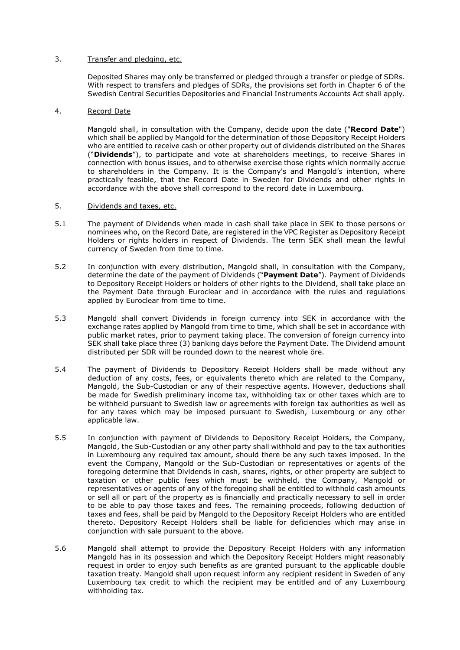# 3. Transfer and pledging, etc.

Deposited Shares may only be transferred or pledged through a transfer or pledge of SDRs. With respect to transfers and pledges of SDRs, the provisions set forth in Chapter 6 of the Swedish Central Securities Depositories and Financial Instruments Accounts Act shall apply.

# 4. Record Date

Mangold shall, in consultation with the Company, decide upon the date ("**Record Date**") which shall be applied by Mangold for the determination of those Depository Receipt Holders who are entitled to receive cash or other property out of dividends distributed on the Shares ("**Dividends**"), to participate and vote at shareholders meetings, to receive Shares in connection with bonus issues, and to otherwise exercise those rights which normally accrue to shareholders in the Company. It is the Company's and Mangold's intention, where practically feasible, that the Record Date in Sweden for Dividends and other rights in accordance with the above shall correspond to the record date in Luxembourg.

#### <span id="page-2-1"></span>5. Dividends and taxes, etc.

- 5.1 The payment of Dividends when made in cash shall take place in SEK to those persons or nominees who, on the Record Date, are registered in the VPC Register as Depository Receipt Holders or rights holders in respect of Dividends. The term SEK shall mean the lawful currency of Sweden from time to time.
- 5.2 In conjunction with every distribution, Mangold shall, in consultation with the Company, determine the date of the payment of Dividends ("**Payment Date**"). Payment of Dividends to Depository Receipt Holders or holders of other rights to the Dividend, shall take place on the Payment Date through Euroclear and in accordance with the rules and regulations applied by Euroclear from time to time.
- 5.3 Mangold shall convert Dividends in foreign currency into SEK in accordance with the exchange rates applied by Mangold from time to time, which shall be set in accordance with public market rates, prior to payment taking place. The conversion of foreign currency into SEK shall take place three (3) banking days before the Payment Date. The Dividend amount distributed per SDR will be rounded down to the nearest whole öre.
- 5.4 The payment of Dividends to Depository Receipt Holders shall be made without any deduction of any costs, fees, or equivalents thereto which are related to the Company, Mangold, the Sub-Custodian or any of their respective agents. However, deductions shall be made for Swedish preliminary income tax, withholding tax or other taxes which are to be withheld pursuant to Swedish law or agreements with foreign tax authorities as well as for any taxes which may be imposed pursuant to Swedish, Luxembourg or any other applicable law.
- <span id="page-2-0"></span>5.5 In conjunction with payment of Dividends to Depository Receipt Holders, the Company, Mangold, the Sub-Custodian or any other party shall withhold and pay to the tax authorities in Luxembourg any required tax amount, should there be any such taxes imposed. In the event the Company, Mangold or the Sub-Custodian or representatives or agents of the foregoing determine that Dividends in cash, shares, rights, or other property are subject to taxation or other public fees which must be withheld, the Company, Mangold or representatives or agents of any of the foregoing shall be entitled to withhold cash amounts or sell all or part of the property as is financially and practically necessary to sell in order to be able to pay those taxes and fees. The remaining proceeds, following deduction of taxes and fees, shall be paid by Mangold to the Depository Receipt Holders who are entitled thereto. Depository Receipt Holders shall be liable for deficiencies which may arise in conjunction with sale pursuant to the above.
- 5.6 Mangold shall attempt to provide the Depository Receipt Holders with any information Mangold has in its possession and which the Depository Receipt Holders might reasonably request in order to enjoy such benefits as are granted pursuant to the applicable double taxation treaty. Mangold shall upon request inform any recipient resident in Sweden of any Luxembourg tax credit to which the recipient may be entitled and of any Luxembourg withholding tax.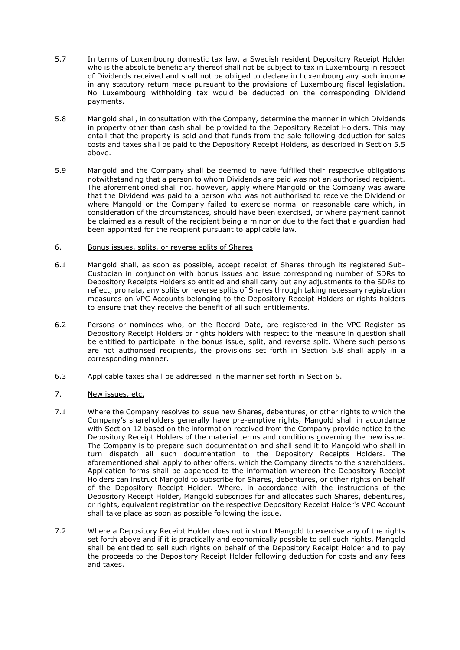- 5.7 In terms of Luxembourg domestic tax law, a Swedish resident Depository Receipt Holder who is the absolute beneficiary thereof shall not be subject to tax in Luxembourg in respect of Dividends received and shall not be obliged to declare in Luxembourg any such income in any statutory return made pursuant to the provisions of Luxembourg fiscal legislation. No Luxembourg withholding tax would be deducted on the corresponding Dividend payments.
- <span id="page-3-0"></span>5.8 Mangold shall, in consultation with the Company, determine the manner in which Dividends in property other than cash shall be provided to the Depository Receipt Holders. This may entail that the property is sold and that funds from the sale following deduction for sales costs and taxes shall be paid to the Depository Receipt Holders, as described in Section [5.5](#page-2-0) above.
- 5.9 Mangold and the Company shall be deemed to have fulfilled their respective obligations notwithstanding that a person to whom Dividends are paid was not an authorised recipient. The aforementioned shall not, however, apply where Mangold or the Company was aware that the Dividend was paid to a person who was not authorised to receive the Dividend or where Mangold or the Company failed to exercise normal or reasonable care which, in consideration of the circumstances, should have been exercised, or where payment cannot be claimed as a result of the recipient being a minor or due to the fact that a guardian had been appointed for the recipient pursuant to applicable law.
- 6. Bonus issues, splits, or reverse splits of Shares
- 6.1 Mangold shall, as soon as possible, accept receipt of Shares through its registered Sub-Custodian in conjunction with bonus issues and issue corresponding number of SDRs to Depository Receipts Holders so entitled and shall carry out any adjustments to the SDRs to reflect, pro rata, any splits or reverse splits of Shares through taking necessary registration measures on VPC Accounts belonging to the Depository Receipt Holders or rights holders to ensure that they receive the benefit of all such entitlements.
- 6.2 Persons or nominees who, on the Record Date, are registered in the VPC Register as Depository Receipt Holders or rights holders with respect to the measure in question shall be entitled to participate in the bonus issue, split, and reverse split. Where such persons are not authorised recipients, the provisions set forth in Section [5.8](#page-3-0) shall apply in a corresponding manner.
- 6.3 Applicable taxes shall be addressed in the manner set forth in Section [5.](#page-2-1)
- <span id="page-3-1"></span>7. New issues, etc.
- 7.1 Where the Company resolves to issue new Shares, debentures, or other rights to which the Company's shareholders generally have pre-emptive rights, Mangold shall in accordance with Section 12 based on the information received from the Company provide notice to the Depository Receipt Holders of the material terms and conditions governing the new issue. The Company is to prepare such documentation and shall send it to Mangold who shall in turn dispatch all such documentation to the Depository Receipts Holders. The aforementioned shall apply to other offers, which the Company directs to the shareholders. Application forms shall be appended to the information whereon the Depository Receipt Holders can instruct Mangold to subscribe for Shares, debentures, or other rights on behalf of the Depository Receipt Holder. Where, in accordance with the instructions of the Depository Receipt Holder, Mangold subscribes for and allocates such Shares, debentures, or rights, equivalent registration on the respective Depository Receipt Holder's VPC Account shall take place as soon as possible following the issue.
- 7.2 Where a Depository Receipt Holder does not instruct Mangold to exercise any of the rights set forth above and if it is practically and economically possible to sell such rights, Mangold shall be entitled to sell such rights on behalf of the Depository Receipt Holder and to pay the proceeds to the Depository Receipt Holder following deduction for costs and any fees and taxes.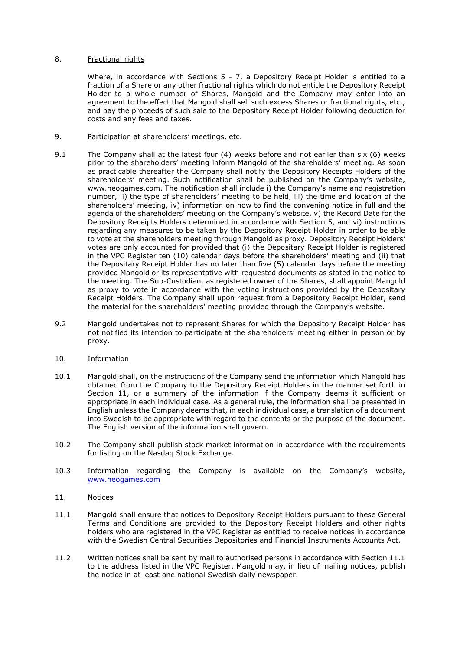# 8. Fractional rights

Where, in accordance with Sections  $5 - 7$ , a Depository Receipt Holder is entitled to a fraction of a Share or any other fractional rights which do not entitle the Depository Receipt Holder to a whole number of Shares, Mangold and the Company may enter into an agreement to the effect that Mangold shall sell such excess Shares or fractional rights, etc., and pay the proceeds of such sale to the Depository Receipt Holder following deduction for costs and any fees and taxes.

# 9. Participation at shareholders' meetings, etc.

- 9.1 The Company shall at the latest four (4) weeks before and not earlier than six (6) weeks prior to the shareholders' meeting inform Mangold of the shareholders' meeting. As soon as practicable thereafter the Company shall notify the Depository Receipts Holders of the shareholders' meeting. Such notification shall be published on the Company's website, www.neogames.com. The notification shall include i) the Company's name and registration number, ii) the type of shareholders' meeting to be held, iii) the time and location of the shareholders' meeting, iv) information on how to find the convening notice in full and the agenda of the shareholders' meeting on the Company's website, v) the Record Date for the Depository Receipts Holders determined in accordance with Section 5, and vi) instructions regarding any measures to be taken by the Depository Receipt Holder in order to be able to vote at the shareholders meeting through Mangold as proxy. Depository Receipt Holders' votes are only accounted for provided that (i) the Depositary Receipt Holder is registered in the VPC Register ten (10) calendar days before the shareholders' meeting and (ii) that the Depositary Receipt Holder has no later than five (5) calendar days before the meeting provided Mangold or its representative with requested documents as stated in the notice to the meeting. The Sub-Custodian, as registered owner of the Shares, shall appoint Mangold as proxy to vote in accordance with the voting instructions provided by the Depositary Receipt Holders. The Company shall upon request from a Depository Receipt Holder, send the material for the shareholders' meeting provided through the Company's website.
- 9.2 Mangold undertakes not to represent Shares for which the Depository Receipt Holder has not notified its intention to participate at the shareholders' meeting either in person or by proxy.
- 10. Information
- 10.1 Mangold shall, on the instructions of the Company send the information which Mangold has obtained from the Company to the Depository Receipt Holders in the manner set forth in Section [11,](#page-4-0) or a summary of the information if the Company deems it sufficient or appropriate in each individual case. As a general rule, the information shall be presented in English unless the Company deems that, in each individual case, a translation of a document into Swedish to be appropriate with regard to the contents or the purpose of the document. The English version of the information shall govern.
- 10.2 The Company shall publish stock market information in accordance with the requirements for listing on the Nasdaq Stock Exchange.
- 10.3 Information regarding the Company is available on the Company's website, [www.neogames.com](http://www.neogames.com/)
- <span id="page-4-0"></span>11. Notices
- <span id="page-4-1"></span>11.1 Mangold shall ensure that notices to Depository Receipt Holders pursuant to these General Terms and Conditions are provided to the Depository Receipt Holders and other rights holders who are registered in the VPC Register as entitled to receive notices in accordance with the Swedish Central Securities Depositories and Financial Instruments Accounts Act.
- 11.2 Written notices shall be sent by mail to authorised persons in accordance with Section 11.1 to the address listed in the VPC Register. Mangold may, in lieu of mailing notices, publish the notice in at least one national Swedish daily newspaper.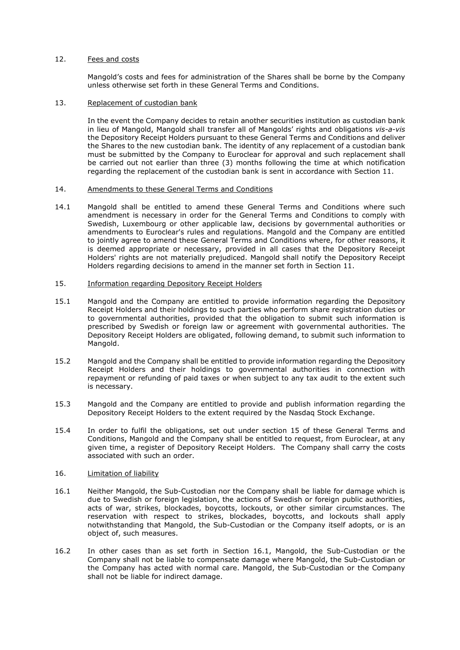### 12. Fees and costs

Mangold's costs and fees for administration of the Shares shall be borne by the Company unless otherwise set forth in these General Terms and Conditions.

#### 13. Replacement of custodian bank

In the event the Company decides to retain another securities institution as custodian bank in lieu of Mangold, Mangold shall transfer all of Mangolds' rights and obligations *vis-a-vis* the Depository Receipt Holders pursuant to these General Terms and Conditions and deliver the Shares to the new custodian bank. The identity of any replacement of a custodian bank must be submitted by the Company to Euroclear for approval and such replacement shall be carried out not earlier than three (3) months following the time at which notification regarding the replacement of the custodian bank is sent in accordance with Section [11.](#page-4-0)

#### 14. Amendments to these General Terms and Conditions

14.1 Mangold shall be entitled to amend these General Terms and Conditions where such amendment is necessary in order for the General Terms and Conditions to comply with Swedish, Luxembourg or other applicable law, decisions by governmental authorities or amendments to Euroclear's rules and regulations. Mangold and the Company are entitled to jointly agree to amend these General Terms and Conditions where, for other reasons, it is deemed appropriate or necessary, provided in all cases that the Depository Receipt Holders' rights are not materially prejudiced. Mangold shall notify the Depository Receipt Holders regarding decisions to amend in the manner set forth in Section 11.

# 15. Information regarding Depository Receipt Holders

- 15.1 Mangold and the Company are entitled to provide information regarding the Depository Receipt Holders and their holdings to such parties who perform share registration duties or to governmental authorities, provided that the obligation to submit such information is prescribed by Swedish or foreign law or agreement with governmental authorities. The Depository Receipt Holders are obligated, following demand, to submit such information to Mangold.
- 15.2 Mangold and the Company shall be entitled to provide information regarding the Depository Receipt Holders and their holdings to governmental authorities in connection with repayment or refunding of paid taxes or when subject to any tax audit to the extent such is necessary.
- 15.3 Mangold and the Company are entitled to provide and publish information regarding the Depository Receipt Holders to the extent required by the Nasdaq Stock Exchange.
- 15.4 In order to fulfil the obligations, set out under section 15 of these General Terms and Conditions, Mangold and the Company shall be entitled to request, from Euroclear, at any given time, a register of Depository Receipt Holders. The Company shall carry the costs associated with such an order.

### 16. Limitation of liability

- <span id="page-5-0"></span>16.1 Neither Mangold, the Sub-Custodian nor the Company shall be liable for damage which is due to Swedish or foreign legislation, the actions of Swedish or foreign public authorities, acts of war, strikes, blockades, boycotts, lockouts, or other similar circumstances. The reservation with respect to strikes, blockades, boycotts, and lockouts shall apply notwithstanding that Mangold, the Sub-Custodian or the Company itself adopts, or is an object of, such measures.
- 16.2 In other cases than as set forth in Section 16.1, Mangold, the Sub-Custodian or the Company shall not be liable to compensate damage where Mangold, the Sub-Custodian or the Company has acted with normal care. Mangold, the Sub-Custodian or the Company shall not be liable for indirect damage.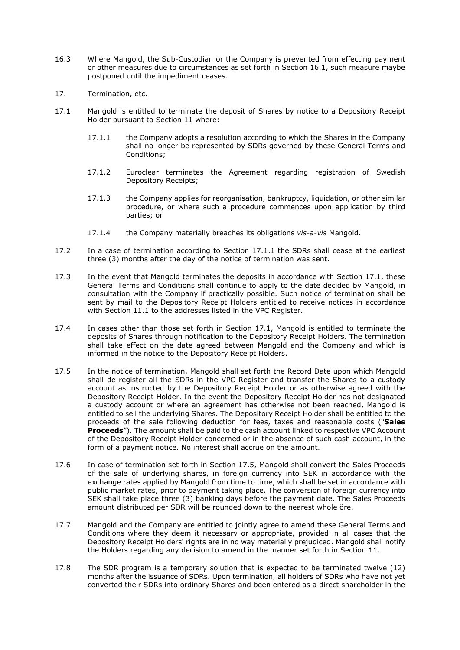- 16.3 Where Mangold, the Sub-Custodian or the Company is prevented from effecting payment or other measures due to circumstances as set forth in Section [16.1,](#page-5-0) such measure maybe postponed until the impediment ceases.
- 17. Termination, etc.
- <span id="page-6-1"></span><span id="page-6-0"></span>17.1 Mangold is entitled to terminate the deposit of Shares by notice to a Depository Receipt Holder pursuant to Section 11 where:
	- 17.1.1 the Company adopts a resolution according to which the Shares in the Company shall no longer be represented by SDRs governed by these General Terms and Conditions;
	- 17.1.2 Euroclear terminates the Agreement regarding registration of Swedish Depository Receipts;
	- 17.1.3 the Company applies for reorganisation, bankruptcy, liquidation, or other similar procedure, or where such a procedure commences upon application by third parties; or
	- 17.1.4 the Company materially breaches its obligations *vis-a-vis* Mangold.
- 17.2 In a case of termination according to Section [17.1.1](#page-6-0) the SDRs shall cease at the earliest three (3) months after the day of the notice of termination was sent.
- 17.3 In the event that Mangold terminates the deposits in accordance with Section [17.1,](#page-6-1) these General Terms and Conditions shall continue to apply to the date decided by Mangold, in consultation with the Company if practically possible. Such notice of termination shall be sent by mail to the Depository Receipt Holders entitled to receive notices in accordance with Section [11.1](#page-4-1) to the addresses listed in the VPC Register.
- 17.4 In cases other than those set forth in Section 17.1, Mangold is entitled to terminate the deposits of Shares through notification to the Depository Receipt Holders. The termination shall take effect on the date agreed between Mangold and the Company and which is informed in the notice to the Depository Receipt Holders.
- 17.5 In the notice of termination, Mangold shall set forth the Record Date upon which Mangold shall de-register all the SDRs in the VPC Register and transfer the Shares to a custody account as instructed by the Depository Receipt Holder or as otherwise agreed with the Depository Receipt Holder. In the event the Depository Receipt Holder has not designated a custody account or where an agreement has otherwise not been reached, Mangold is entitled to sell the underlying Shares. The Depository Receipt Holder shall be entitled to the proceeds of the sale following deduction for fees, taxes and reasonable costs ("**Sales Proceeds**"). The amount shall be paid to the cash account linked to respective VPC Account of the Depository Receipt Holder concerned or in the absence of such cash account, in the form of a payment notice. No interest shall accrue on the amount.
- 17.6 In case of termination set forth in Section 17.5, Mangold shall convert the Sales Proceeds of the sale of underlying shares, in foreign currency into SEK in accordance with the exchange rates applied by Mangold from time to time, which shall be set in accordance with public market rates, prior to payment taking place. The conversion of foreign currency into SEK shall take place three (3) banking days before the payment date. The Sales Proceeds amount distributed per SDR will be rounded down to the nearest whole öre.
- 17.7 Mangold and the Company are entitled to jointly agree to amend these General Terms and Conditions where they deem it necessary or appropriate, provided in all cases that the Depository Receipt Holders' rights are in no way materially prejudiced. Mangold shall notify the Holders regarding any decision to amend in the manner set forth in Section 11.
- 17.8 The SDR program is a temporary solution that is expected to be terminated twelve (12) months after the issuance of SDRs. Upon termination, all holders of SDRs who have not yet converted their SDRs into ordinary Shares and been entered as a direct shareholder in the